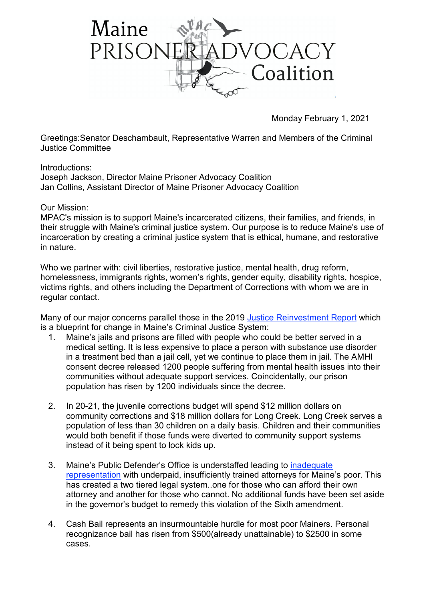

Monday February 1, 2021

Greetings:Senator Deschambault, Representative Warren and Members of the Criminal Justice Committee

Introductions: Joseph Jackson, Director Maine Prisoner Advocacy Coalition Jan Collins, Assistant Director of Maine Prisoner Advocacy Coalition

## Our Mission:

MPAC's mission is to support Maine's incarcerated citizens, their families, and friends, in their struggle with Maine's criminal justice system. Our purpose is to reduce Maine's use of incarceration by creating a criminal justice system that is ethical, humane, and restorative in nature.

Who we partner with: civil liberties, restorative justice, mental health, drug reform, homelessness, immigrants rights, women's rights, gender equity, disability rights, hospice, victims rights, and others including the Department of Corrections with whom we are in regular contact.

Many of our major concerns parallel those in the 2019 Justice [Reinvestment](https://csgjusticecenter.org/wp-content/uploads/2019/12/JR-in-Maine-Overview.pdf) Report which is a blueprint for change in Maine's Criminal Justice System:

- 1. Maine's jails and prisons are filled with people who could be better served in a medical setting. It is less expensive to place a person with substance use disorder in a treatment bed than a jail cell, yet we continue to place them in jail. The AMHI consent decree released 1200 people suffering from mental health issues into their communities without adequate support services. Coincidentally, our prison population has risen by 1200 individuals since the decree.
- 2. In 20-21, the juvenile corrections budget will spend \$12 million dollars on community corrections and \$18 million dollars for Long Creek. Long Creek serves a population of less than 30 children on a daily basis. Children and their communities would both benefit if those funds were diverted to community support systems instead of it being spent to lock kids up.
- 3. Maine's Public Defender's Office is understaffed leading to [inadequate](https://sixthamendment.org/6AC/6AC_me_report_2019.pdf) [representation](https://sixthamendment.org/6AC/6AC_me_report_2019.pdf) with underpaid, insufficiently trained attorneys for Maine's poor. This has created a two tiered legal system..one for those who can afford their own attorney and another for those who cannot. No additional funds have been set aside in the governor's budget to remedy this violation of the Sixth amendment.
- 4. Cash Bail represents an insurmountable hurdle for most poor Mainers. Personal recognizance bail has risen from \$500(already unattainable) to \$2500 in some cases.